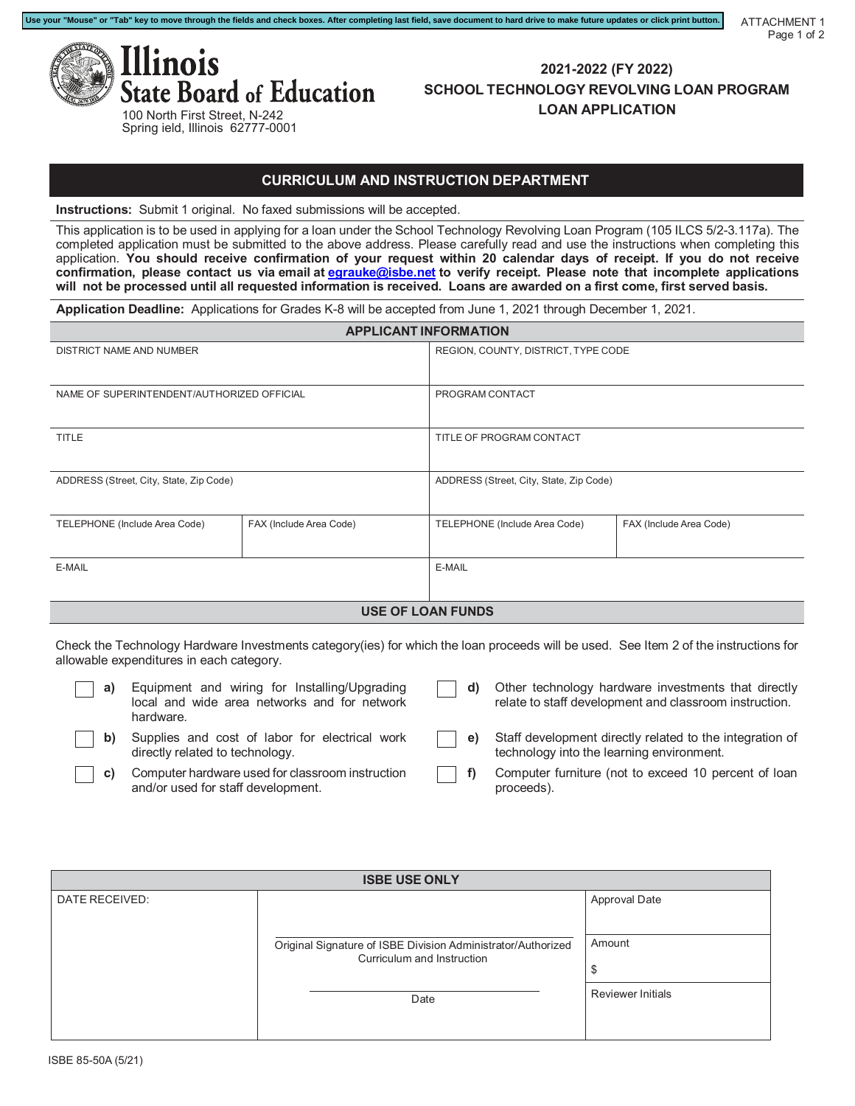

**2021-2022 (FY 2022) SCHOOL TECHNOLOGY REVOLVING LOAN PROGRAM LOAN APPLICATION**

ATTACHMENT 1

Page 1 of 2

### **CURRICULUM AND INSTRUCTION DEPARTMENT**

**Instructions:** Submit 1 original. No faxed submissions will be accepted.

This application is to be used in applying for a loan under the School Technology Revolving Loan Program (105 ILCS 5/2-3.117a). The completed application must be submitted to the above address. Please carefully read and use the instructions when completing this application. **You should receive confirmation of your request within 20 calendar days of receipt. If you do not receive confirmation, please contact us via email at [egrauke@isbe.net](mailto:egrauke@isbe.net) to verify receipt. Please note that incomplete applications** will not be processed until all requested information is received. Loans are awarded on a first come, first served basis.

**Application Deadline:** Applications for Grades K-8 will be accepted from June 1, 2021 through December 1, 2021.

**Use your "Mouse" or "Tab" key to move through the fields and check boxes. After completing last field, save document to hard drive to make future updates or click print button.**

| <b>APPLICANT INFORMATION</b>               |                         |                               |                                         |  |  |
|--------------------------------------------|-------------------------|-------------------------------|-----------------------------------------|--|--|
| DISTRICT NAME AND NUMBER                   |                         |                               | REGION, COUNTY, DISTRICT, TYPE CODE     |  |  |
|                                            |                         |                               |                                         |  |  |
| NAME OF SUPERINTENDENT/AUTHORIZED OFFICIAL |                         | PROGRAM CONTACT               |                                         |  |  |
|                                            |                         |                               |                                         |  |  |
| <b>TITLE</b>                               |                         | TITLE OF PROGRAM CONTACT      |                                         |  |  |
|                                            |                         |                               |                                         |  |  |
| ADDRESS (Street, City, State, Zip Code)    |                         |                               | ADDRESS (Street, City, State, Zip Code) |  |  |
|                                            |                         |                               |                                         |  |  |
| TELEPHONE (Include Area Code)              | FAX (Include Area Code) | TELEPHONE (Include Area Code) | FAX (Include Area Code)                 |  |  |
|                                            |                         |                               |                                         |  |  |
| E-MAIL                                     |                         | E-MAIL                        |                                         |  |  |
|                                            |                         |                               |                                         |  |  |
| <b>USE OF LOAN FUNDS</b>                   |                         |                               |                                         |  |  |

Check the Technology Hardware Investments category(ies) for which the loan proceeds will be used. See Item 2 of the instructions for allowable expenditures in each category.

| a) | Equipment and wiring for Installing/Upgrading<br>local and wide area networks and for network<br>hardware. | d) | Other technology hardware investments that directly<br>relate to staff development and classroom instruction.    |
|----|------------------------------------------------------------------------------------------------------------|----|------------------------------------------------------------------------------------------------------------------|
|    | Supplies and cost of labor for electrical work<br>directly related to technology.                          |    | $\vert$ e) Staff development directly related to the integration of<br>technology into the learning environment. |
|    | Computer hardware used for classroom instruction<br>and/or used for staff development.                     |    | Computer furniture (not to exceed 10 percent of loan<br>proceeds).                                               |

| <b>ISBE USE ONLY</b> |                                                                                            |                          |  |  |
|----------------------|--------------------------------------------------------------------------------------------|--------------------------|--|--|
| DATE RECEIVED:       |                                                                                            | <b>Approval Date</b>     |  |  |
|                      | Original Signature of ISBE Division Administrator/Authorized<br>Curriculum and Instruction | Amount<br>\$             |  |  |
|                      | Date                                                                                       | <b>Reviewer Initials</b> |  |  |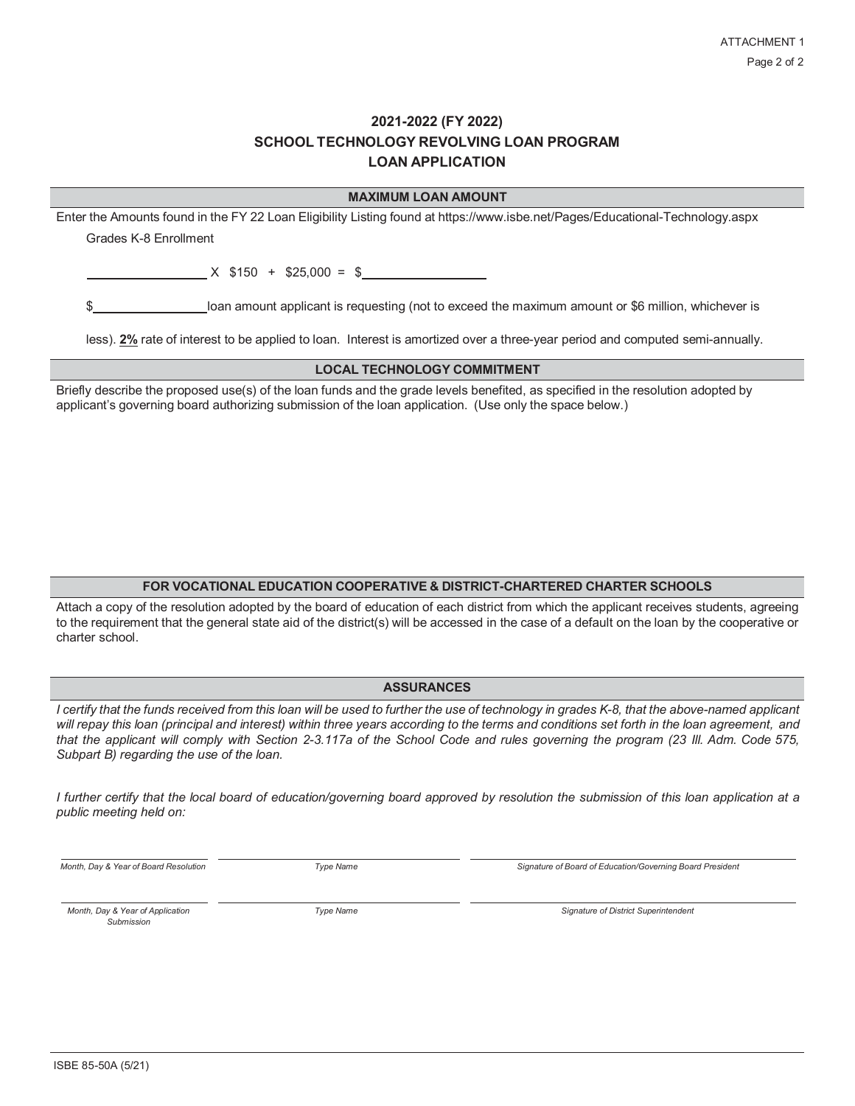## **2021-2022 (FY 2022) SCHOOL TECHNOLOGY REVOLVING LOAN PROGRAM LOAN APPLICATION**

| <b>MAXIMUM LOAN AMOUNT</b>                                                                                                    |  |  |  |  |
|-------------------------------------------------------------------------------------------------------------------------------|--|--|--|--|
| Enter the Amounts found in the FY 22 Loan Eligibility Listing found at https://www.isbe.net/Pages/Educational-Technology.aspx |  |  |  |  |
| Grades K-8 Fnrollment                                                                                                         |  |  |  |  |
|                                                                                                                               |  |  |  |  |
| $X$ \$150 + \$25,000 = \$                                                                                                     |  |  |  |  |
|                                                                                                                               |  |  |  |  |
| loan amount applicant is requesting (not to exceed the maximum amount or \$6 million, whichever is                            |  |  |  |  |
|                                                                                                                               |  |  |  |  |
| less). 2% rate of interest to be applied to loan. Interest is amortized over a three-year period and computed semi-annually.  |  |  |  |  |
| <b>LOCAL TECHNOLOGY COMMITMENT</b>                                                                                            |  |  |  |  |

Briefly describe the proposed use(s) of the loan funds and the grade levels benefited, as specified in the resolution adopted by applicant's governing board authorizing submission of the loan application. (Use only the space below.)

### **FOR VOCATIONAL EDUCATION COOPERATIVE & DISTRICT-CHARTERED CHARTER SCHOOLS**

Attach a copy of the resolution adopted by the board of education of each district from which the applicant receives students, agreeing to the requirement that the general state aid of the district(s) will be accessed in the case of a default on the loan by the cooperative or charter school.

### **ASSURANCES**

*I certify that the funds received from this loan will be used to further the use of technology in grades K-8, that the above-named applicant will repay this loan (principal and interest) within three years according to the terms and conditions set forth in the loan agreement, and* that the applicant will comply with Section 2-3.117a of the School Code and rules governing the program (23 III. Adm. Code 575, *Subpart B) regarding the use of the loan.*

*I further certify that the local board of education/governing board approved by resolution the submission of this loan application at a public meeting held on:*

*Month, Day & Year of Board Resolution Type Name Signature of Board of Education/Governing Board President*

*Submission*

*Month, Day & Year of Application Type Name Signature of District Superintendent*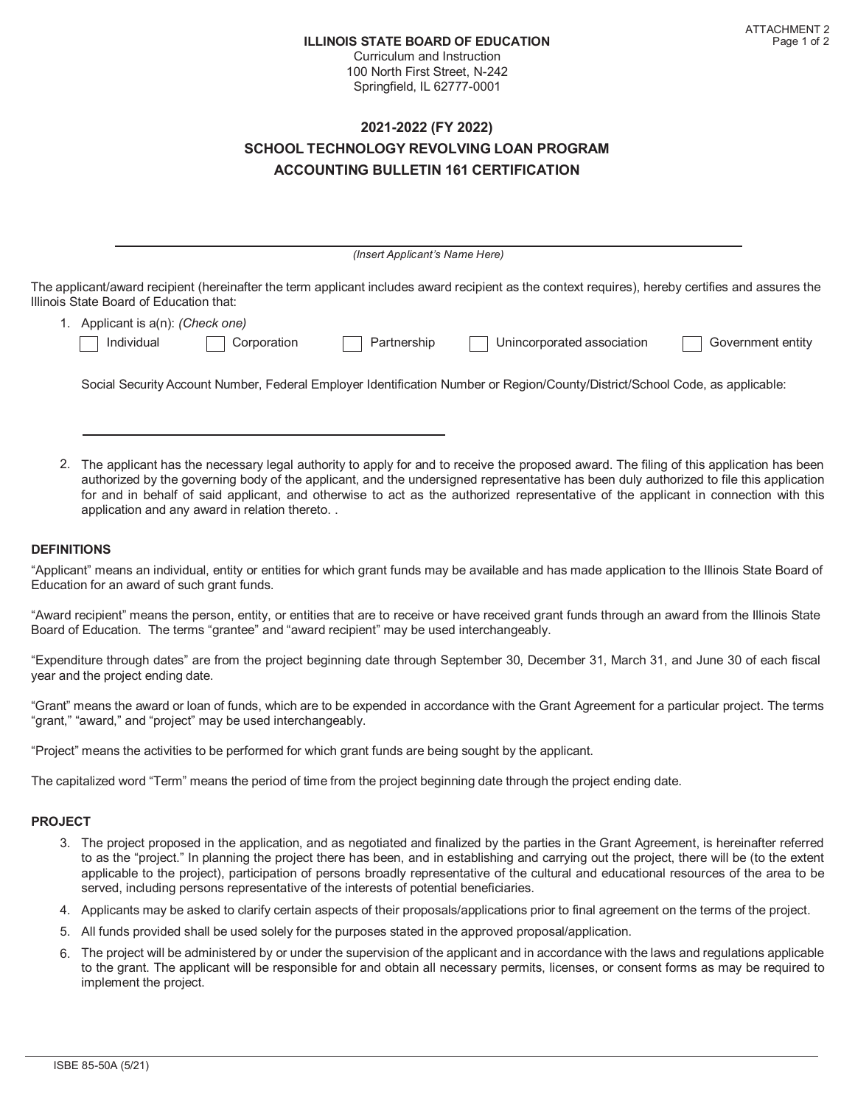Curriculum and Instruction 100 North First Street, N-242 Springfield, IL 62777-0001

## **2021-2022 (FY 2022) SCHOOL TECHNOLOGY REVOLVING LOAN PROGRAM ACCOUNTING BULLETIN 161 CERTIFICATION**

|                                                                                                                                         |             | (Insert Applicant's Name Here) |                                                                                                                                                   |                   |
|-----------------------------------------------------------------------------------------------------------------------------------------|-------------|--------------------------------|---------------------------------------------------------------------------------------------------------------------------------------------------|-------------------|
| Illinois State Board of Education that:                                                                                                 |             |                                | The applicant/award recipient (hereinafter the term applicant includes award recipient as the context requires), hereby certifies and assures the |                   |
| 1. Applicant is a(n): (Check one)                                                                                                       |             |                                |                                                                                                                                                   |                   |
| Individual                                                                                                                              | Corporation | Partnership                    | Unincorporated association                                                                                                                        | Government entity |
|                                                                                                                                         |             |                                | Social Security Account Number, Federal Employer Identification Number or Region/County/District/School Code, as applicable:                      |                   |
| The applicant has the necessary legal authority to apply for and to receive the proposed award. The filing of this application has heen |             |                                |                                                                                                                                                   |                   |

luthority to apply for and to receive the proposed award. The filing  $\epsilon$ authorized by the governing body of the applicant, and the undersigned representative has been duly authorized to file this application for and in behalf of said applicant, and otherwise to act as the authorized representative of the applicant in connection with this application and any award in relation thereto. .

### **DEFINITIONS**

"Applicant" means an individual, entity or entities for which grant funds may be available and has made application to the Illinois State Board of Education for an award of such grant funds.

"Award recipient" means the person, entity, or entities that are to receive or have received grant funds through an award from the Illinois State Board of Education. The terms "grantee" and "award recipient" may be used interchangeably.

"Expenditure through dates" are from the project beginning date through September 30, December 31, March 31, and June 30 of each fiscal year and the project ending date.

"Grant" means the award or loan of funds, which are to be expended in accordance with the Grant Agreement for a particular project. The terms "grant," "award," and "project" may be used interchangeably.

"Project" means the activities to be performed for which grant funds are being sought by the applicant.

The capitalized word "Term" means the period of time from the project beginning date through the project ending date.

#### **PROJECT**

- 3. The project proposed in the application, and as negotiated and finalized by the parties in the Grant Agreement, is hereinafter referred to as the "project." In planning the project there has been, and in establishing and carrying out the project, there will be (to the extent applicable to the project), participation of persons broadly representative of the cultural and educational resources of the area to be served, including persons representative of the interests of potential beneficiaries.
- 4. Applicants may be asked to clarify certain aspects of their proposals/applications prior to final agreement on the terms of the project.
- 5. All funds provided shall be used solely for the purposes stated in the approved proposal/application.
- 6. The project will be administered by or under the supervision of the applicant and in accordance with the laws and regulations applicable to the grant. The applicant will be responsible for and obtain all necessary permits, licenses, or consent forms as may be required to implement the project.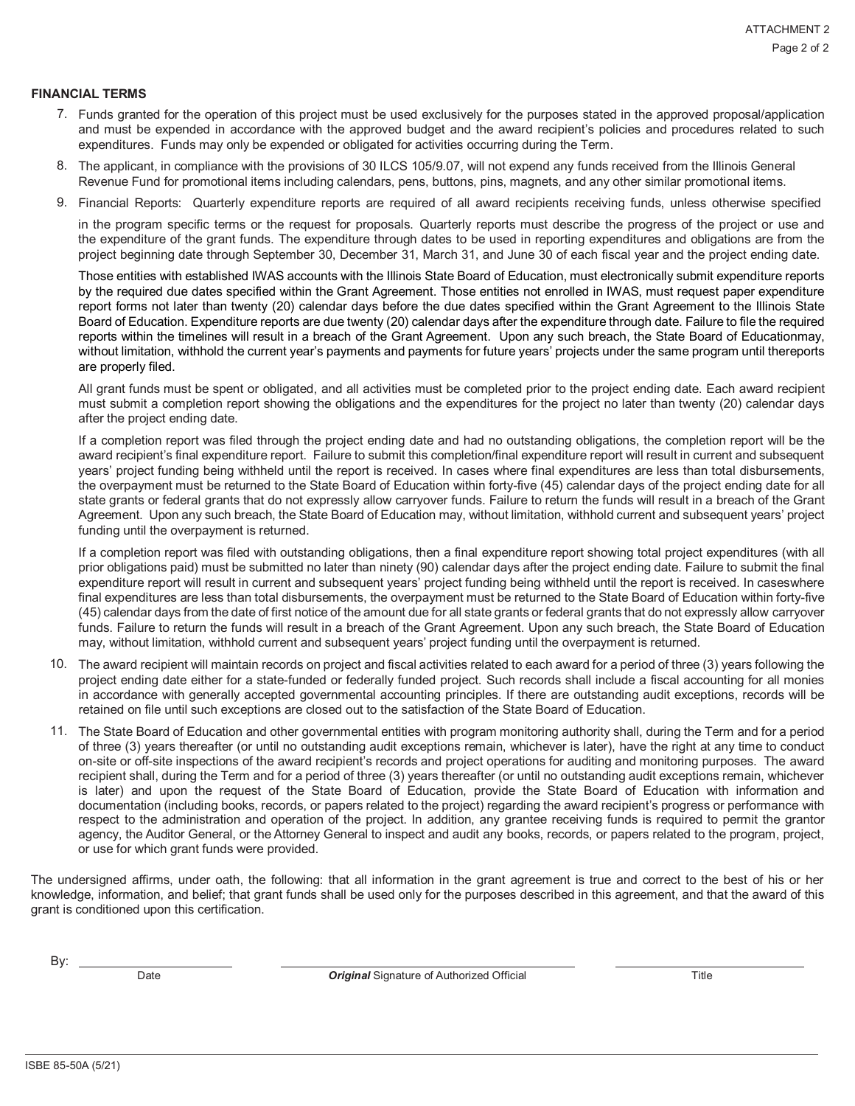#### **FINANCIAL TERMS**

- 7. Funds granted for the operation of this project must be used exclusively for the purposes stated in the approved proposal/application and must be expended in accordance with the approved budget and the award recipient's policies and procedures related to such expenditures. Funds may only be expended or obligated for activities occurring during the Term.
- 8. The applicant, in compliance with the provisions of 30 ILCS 105/9.07, will not expend any funds received from the Illinois General Revenue Fund for promotional items including calendars, pens, buttons, pins, magnets, and any other similar promotional items.
- 9. Financial Reports: Quarterly expenditure reports are required of all award recipients receiving funds, unless otherwise specified

in the program specific terms or the request for proposals. Quarterly reports must describe the progress of the project or use and the expenditure of the grant funds. The expenditure through dates to be used in reporting expenditures and obligations are from the project beginning date through September 30, December 31, March 31, and June 30 of each fiscal year and the project ending date.

Those entities with established IWAS accounts with the Illinois State Board of Education, must electronically submit expenditure reports by the required due dates specified within the Grant Agreement. Those entities not enrolled in IWAS, must request paper expenditure report forms not later than twenty (20) calendar days before the due dates specified within the Grant Agreement to the Illinois State Board of Education. Expenditure reports are due twenty (20) calendar days after the expenditure through date. Failure to file the required reports within the timelines will result in a breach of the Grant Agreement. Upon any such breach, the State Board of Educationmay, without limitation, withhold the current year's payments and payments for future years' projects under the same program until thereports are properly filed.

All grant funds must be spent or obligated, and all activities must be completed prior to the project ending date. Each award recipient must submit a completion report showing the obligations and the expenditures for the project no later than twenty (20) calendar days after the project ending date.

If a completion report was filed through the project ending date and had no outstanding obligations, the completion report will be the award recipient's final expenditure report. Failure to submit this completion/final expenditure report will result in current and subsequent years' project funding being withheld until the report is received. In cases where final expenditures are less than total disbursements, the overpayment must be returned to the State Board of Education within forty-five (45) calendar days of the project ending date for all state grants or federal grants that do not expressly allow carryover funds. Failure to return the funds will result in a breach of the Grant Agreement. Upon any such breach, the State Board of Education may, without limitation, withhold current and subsequent years' project funding until the overpayment is returned.

If a completion report was filed with outstanding obligations, then a final expenditure report showing total project expenditures (with all prior obligations paid) must be submitted no later than ninety (90) calendar days after the project ending date. Failure to submit the final expenditure report will result in current and subsequent years' project funding being withheld until the report is received. In caseswhere final expenditures are less than total disbursements, the overpayment must be returned to the State Board of Education within forty-five (45) calendar days from the date of first notice of the amount due for all state grants or federal grants that do not expressly allow carryover funds. Failure to return the funds will result in a breach of the Grant Agreement. Upon any such breach, the State Board of Education may, without limitation, withhold current and subsequent years' project funding until the overpayment is returned.

- 10. The award recipient will maintain records on project and fiscal activities related to each award for a period of three (3) years following the project ending date either for a state-funded or federally funded project. Such records shall include a fiscal accounting for all monies in accordance with generally accepted governmental accounting principles. If there are outstanding audit exceptions, records will be retained on file until such exceptions are closed out to the satisfaction of the State Board of Education.
- 11. The State Board of Education and other governmental entities with program monitoring authority shall, during the Term and for a period of three (3) years thereafter (or until no outstanding audit exceptions remain, whichever is later), have the right at any time to conduct on-site or off-site inspections of the award recipient's records and project operations for auditing and monitoring purposes. The award recipient shall, during the Term and for a period of three (3) years thereafter (or until no outstanding audit exceptions remain, whichever is later) and upon the request of the State Board of Education, provide the State Board of Education with information and documentation (including books, records, or papers related to the project) regarding the award recipient's progress or performance with respect to the administration and operation of the project. In addition, any grantee receiving funds is required to permit the grantor agency, the Auditor General, or the Attorney General to inspect and audit any books, records, or papers related to the program, project, or use for which grant funds were provided.

The undersigned affirms, under oath, the following: that all information in the grant agreement is true and correct to the best of his or her knowledge, information, and belief; that grant funds shall be used only for the purposes described in this agreement, and that the award of this grant is conditioned upon this certification.

By:  $\overline{\phantom{0}}$ 

Date *Original* Signature of Authorized Official Title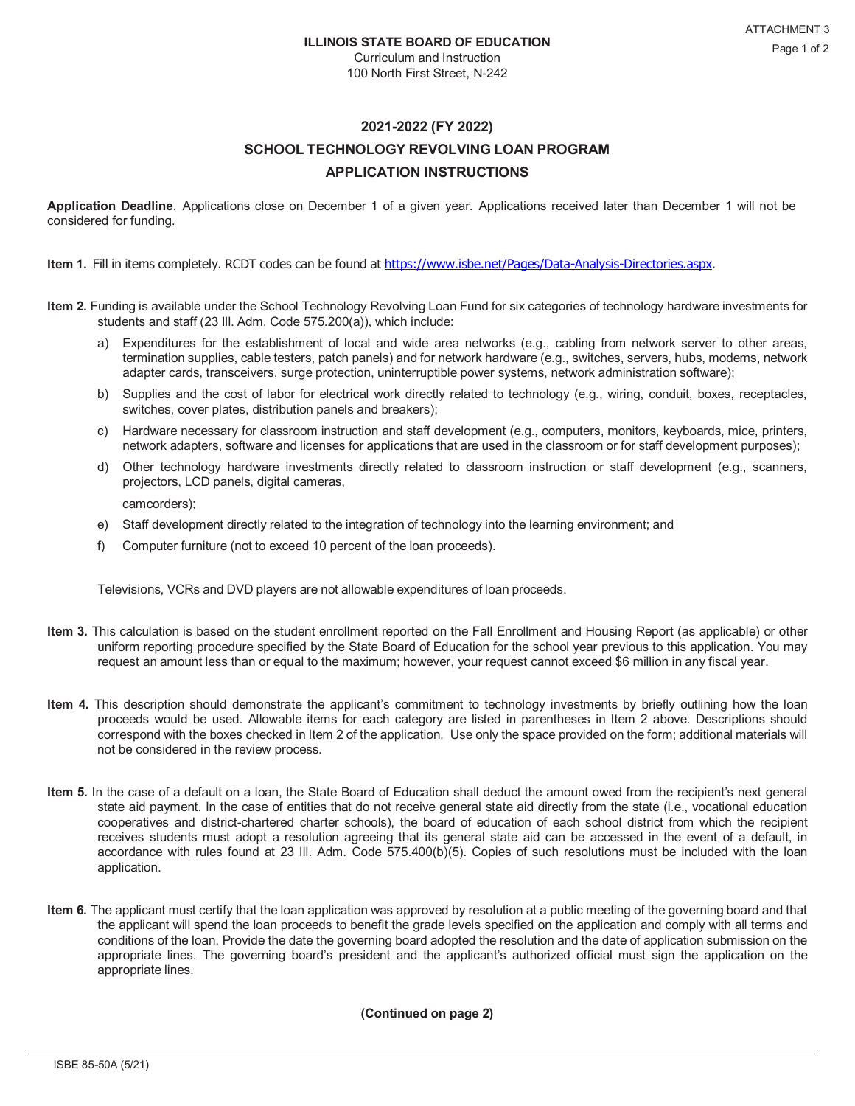Curriculum and Instruction 100 North First Street, N-242

## **2021-2022 (FY 2022)**

## **SCHOOL TECHNOLOGY REVOLVING LOAN PROGRAM APPLICATION INSTRUCTIONS**

**Application Deadline**. Applications close on December 1 of a given year. Applications received later than December 1 will not be considered for funding.

**Item 1.** Fill in items completely. RCDT codes can be found at h[ttps://www.isbe.net/Pages/Data-Analysis-Directories.aspx.](http://www.isbe.net/Pages/Data-Analysis-Directories.aspx)

- **Item 2.** Funding is available under the School Technology Revolving Loan Fund for six categories of technology hardware investments for students and staff (23 Ill. Adm. Code 575.200(a)), which include:
	- a) Expenditures for the establishment of local and wide area networks (e.g., cabling from network server to other areas, termination supplies, cable testers, patch panels) and for network hardware (e.g., switches, servers, hubs, modems, network adapter cards, transceivers, surge protection, uninterruptible power systems, network administration software);
	- b) Supplies and the cost of labor for electrical work directly related to technology (e.g., wiring, conduit, boxes, receptacles, switches, cover plates, distribution panels and breakers);
	- c) Hardware necessary for classroom instruction and staff development (e.g., computers, monitors, keyboards, mice, printers, network adapters, software and licenses for applications that are used in the classroom or for staff development purposes);
	- d) Other technology hardware investments directly related to classroom instruction or staff development (e.g., scanners, projectors, LCD panels, digital cameras,

camcorders);

- e) Staff development directly related to the integration of technology into the learning environment; and
- f) Computer furniture (not to exceed 10 percent of the loan proceeds).

Televisions, VCRs and DVD players are not allowable expenditures of loan proceeds.

- **Item 3.** This calculation is based on the student enrollment reported on the Fall Enrollment and Housing Report (as applicable) or other uniform reporting procedure specified by the State Board of Education for the school year previous to this application. You may request an amount less than or equal to the maximum; however, your request cannot exceed \$6 million in any fiscal year.
- **Item 4.** This description should demonstrate the applicant's commitment to technology investments by briefly outlining how the loan proceeds would be used. Allowable items for each category are listed in parentheses in Item 2 above. Descriptions should correspond with the boxes checked in Item 2 of the application. Use only the space provided on the form; additional materials will not be considered in the review process.
- **Item 5.** In the case of a default on a loan, the State Board of Education shall deduct the amount owed from the recipient's next general state aid payment. In the case of entities that do not receive general state aid directly from the state (i.e., vocational education cooperatives and district-chartered charter schools), the board of education of each school district from which the recipient receives students must adopt a resolution agreeing that its general state aid can be accessed in the event of a default, in accordance with rules found at 23 Ill. Adm. Code 575.400(b)(5). Copies of such resolutions must be included with the loan application.
- **Item 6.** The applicant must certify that the loan application was approved by resolution at a public meeting of the governing board and that the applicant will spend the loan proceeds to benefit the grade levels specified on the application and comply with all terms and conditions of the loan. Provide the date the governing board adopted the resolution and the date of application submission on the appropriate lines. The governing board's president and the applicant's authorized official must sign the application on the appropriate lines.

**(Continued on page 2)**